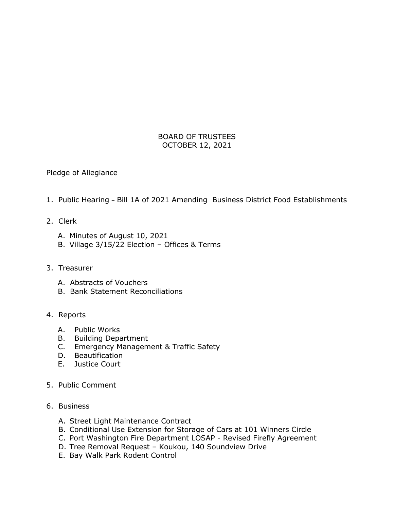## BOARD OF TRUSTEES OCTOBER 12, 2021

Pledge of Allegiance

- 1. Public Hearing Bill 1A of 2021 Amending Business District Food Establishments
- 2. Clerk
	- A. Minutes of August 10, 2021
	- B. Village 3/15/22 Election Offices & Terms
- 3. Treasurer
	- A. Abstracts of Vouchers
	- B. Bank Statement Reconciliations

## 4. Reports

- A. Public Works
- B. Building Department
- C. Emergency Management & Traffic Safety
- D. Beautification
- E. Justice Court
- 5. Public Comment
- 6. Business
	- A. Street Light Maintenance Contract
	- B. Conditional Use Extension for Storage of Cars at 101 Winners Circle
	- C. Port Washington Fire Department LOSAP Revised Firefly Agreement
	- D. Tree Removal Request Koukou, 140 Soundview Drive
	- E. Bay Walk Park Rodent Control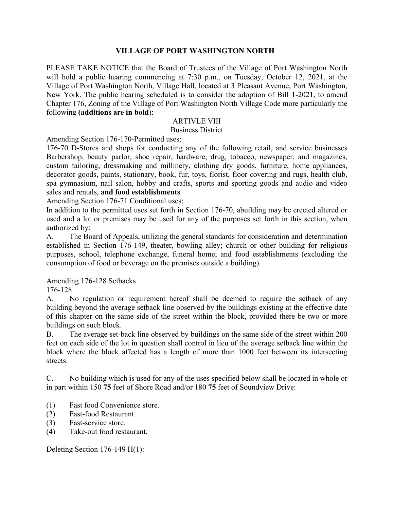## **VILLAGE OF PORT WASHINGTON NORTH**

PLEASE TAKE NOTICE that the Board of Trustees of the Village of Port Washington North will hold a public hearing commencing at 7:30 p.m., on Tuesday, October 12, 2021, at the Village of Port Washington North, Village Hall, located at 3 Pleasant Avenue, Port Washington, New York. The public hearing scheduled is to consider the adoption of Bill 1-2021, to amend Chapter 176, Zoning of the Village of Port Washington North Village Code more particularly the following **(additions are in bold**):

## ARTIVLE VIII

Business District

Amending Section 176-170-Permitted uses:

176-70 D-Stores and shops for conducting any of the following retail, and service businesses Barbershop, beauty parlor, shoe repair, hardware, drug, tobacco, newspaper, and magazines, custom tailoring, dressmaking and millinery, clothing dry goods, furniture, home appliances, decorator goods, paints, stationary, book, fur, toys, florist, floor covering and rugs, health club, spa gymnasium, nail salon, hobby and crafts, sports and sporting goods and audio and video sales and rentals, **and food establishments**.

Amending Section 176-71 Conditional uses:

In addition to the permitted uses set forth in Section 176-70, abuilding may be erected altered or used and a lot or premises may be used for any of the purposes set forth in this section, when authorized by:

A. The Board of Appeals, utilizing the general standards for consideration and determination established in Section 176-149, theater, bowling alley; church or other building for religious purposes, school, telephone exchange, funeral home; and food establishments (excluding the consumption of food or beverage on the premises outside a building).

Amending 176-128 Setbacks

176-128

A. No regulation or requirement hereof shall be deemed to require the setback of any building beyond the average setback line observed by the buildings existing at the effective date of this chapter on the same side of the street within the block, provided there be two or more buildings on such block.

B. The average set-back line observed by buildings on the same side of the street within 200 feet on each side of the lot in question shall control in lieu of the average setback line within the block where the block affected has a length of more than 1000 feet between its intersecting streets.

C. No building which is used for any of the uses specified below shall be located in whole or in part within 150 **75** feet of Shore Road and/or 180 **75** feet of Soundview Drive:

- (1) Fast food Convenience store.
- (2) Fast-food Restaurant.
- (3) Fast-service store.
- (4) Take-out food restaurant.

Deleting Section 176-149 H(1):